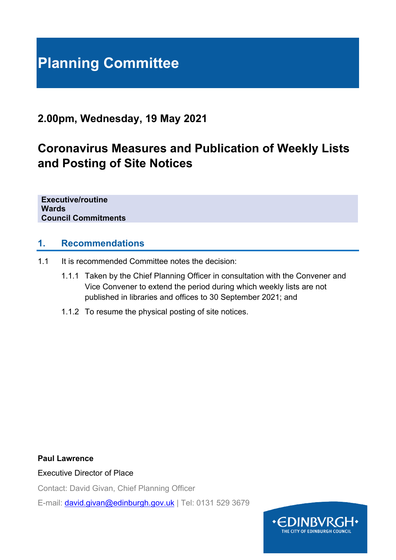# **Planning Committee**

### **2.00pm, Wednesday, 19 May 2021**

## **Coronavirus Measures and Publication of Weekly Lists and Posting of Site Notices**

**Executive/routine Wards Council Commitments**

#### **1. Recommendations**

- 1.1 It is recommended Committee notes the decision:
	- 1.1.1 Taken by the Chief Planning Officer in consultation with the Convener and Vice Convener to extend the period during which weekly lists are not published in libraries and offices to 30 September 2021; and
	- 1.1.2 To resume the physical posting of site notices.

#### **Paul Lawrence**

#### Executive Director of Place

Contact: David Givan, Chief Planning Officer

E-mail: [david.givan@edinburgh.gov.uk](mailto:david.givan@edinburgh.gov.uk) | Tel: 0131 529 3679

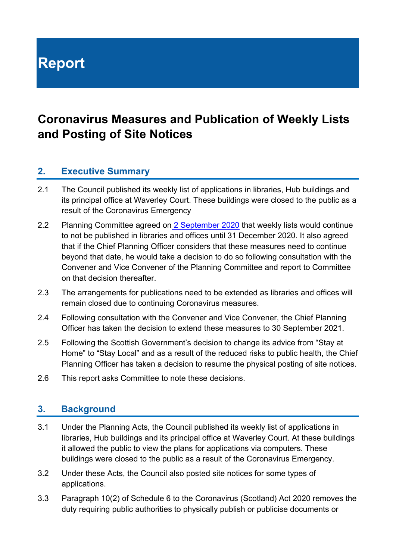# **Report**

## **Coronavirus Measures and Publication of Weekly Lists and Posting of Site Notices**

#### **2. Executive Summary**

- 2.1 The Council published its weekly list of applications in libraries, Hub buildings and its principal office at Waverley Court. These buildings were closed to the public as a result of the Coronavirus Emergency
- 2.2 Planning Committee agreed on [2 September](https://democracy.edinburgh.gov.uk/ieListDocuments.aspx?CId=147&MId=5581) 2020 that weekly lists would continue to not be published in libraries and offices until 31 December 2020. It also agreed that if the Chief Planning Officer considers that these measures need to continue beyond that date, he would take a decision to do so following consultation with the Convener and Vice Convener of the Planning Committee and report to Committee on that decision thereafter.
- 2.3 The arrangements for publications need to be extended as libraries and offices will remain closed due to continuing Coronavirus measures.
- 2.4 Following consultation with the Convener and Vice Convener, the Chief Planning Officer has taken the decision to extend these measures to 30 September 2021.
- 2.5 Following the Scottish Government's decision to change its advice from "Stay at Home" to "Stay Local" and as a result of the reduced risks to public health, the Chief Planning Officer has taken a decision to resume the physical posting of site notices.
- 2.6 This report asks Committee to note these decisions.

#### **3. Background**

- 3.1 Under the Planning Acts, the Council published its weekly list of applications in libraries, Hub buildings and its principal office at Waverley Court. At these buildings it allowed the public to view the plans for applications via computers. These buildings were closed to the public as a result of the Coronavirus Emergency.
- 3.2 Under these Acts, the Council also posted site notices for some types of applications.
- 3.3 Paragraph 10(2) of Schedule 6 to the Coronavirus (Scotland) Act 2020 removes the duty requiring public authorities to physically publish or publicise documents or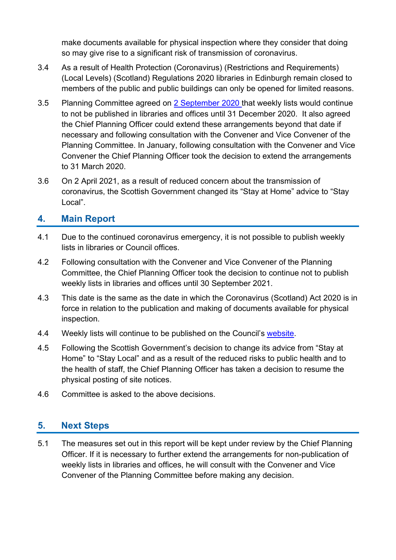make documents available for physical inspection where they consider that doing so may give rise to a significant risk of transmission of coronavirus.

- 3.4 As a result of Health Protection (Coronavirus) (Restrictions and Requirements) (Local Levels) (Scotland) Regulations 2020 libraries in Edinburgh remain closed to members of the public and public buildings can only be opened for limited reasons.
- 3.5 Planning Committee agreed on [2 September](https://democracy.edinburgh.gov.uk/ieListDocuments.aspx?CId=147&MId=5581) 2020 that weekly lists would continue to not be published in libraries and offices until 31 December 2020. It also agreed the Chief Planning Officer could extend these arrangements beyond that date if necessary and following consultation with the Convener and Vice Convener of the Planning Committee. In January, following consultation with the Convener and Vice Convener the Chief Planning Officer took the decision to extend the arrangements to 31 March 2020.
- 3.6 On 2 April 2021, as a result of reduced concern about the transmission of coronavirus, the Scottish Government changed its "Stay at Home" advice to "Stay Local".

### **4. Main Report**

- 4.1 Due to the continued coronavirus emergency, it is not possible to publish weekly lists in libraries or Council offices.
- 4.2 Following consultation with the Convener and Vice Convener of the Planning Committee, the Chief Planning Officer took the decision to continue not to publish weekly lists in libraries and offices until 30 September 2021.
- 4.3 This date is the same as the date in which the Coronavirus (Scotland) Act 2020 is in force in relation to the publication and making of documents available for physical inspection.
- 4.4 Weekly lists will continue to be published on the Council's [website.](https://www.edinburgh.gov.uk/planningweeklylists)
- 4.5 Following the Scottish Government's decision to change its advice from "Stay at Home" to "Stay Local" and as a result of the reduced risks to public health and to the health of staff, the Chief Planning Officer has taken a decision to resume the physical posting of site notices.
- 4.6 Committee is asked to the above decisions.

### **5. Next Steps**

5.1 The measures set out in this report will be kept under review by the Chief Planning Officer. If it is necessary to further extend the arrangements for non-publication of weekly lists in libraries and offices, he will consult with the Convener and Vice Convener of the Planning Committee before making any decision.